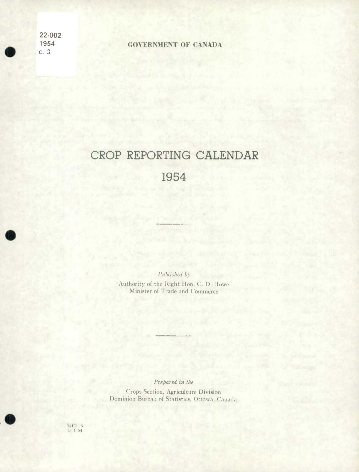22-002

•

## 1954 **GOVERNMENT OF CANADA**

### CROP REPORTING CALENDAR

#### 1954

*Published by* 

Authority of the Right Hon. C. D. Howe Minister of Trade and Commerce

*Prepared in the* 

Crops Section, Agriculture Division Dominion Bureau of Statistics, Ottawa, Canada

ISO3-19<br>I5-1-54

**•**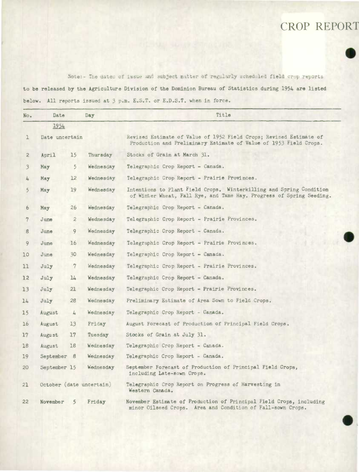#### CROP REPORT



.

..

Note:- The dates of issue and subject matter of regularly scheduled field crop reports to be released by the Agriculture Division of the Dominion Bureau of Statistics during *1954* are listed below. All reports issued at 3 p.m. E.S.T. or E.D.S.T. when in force.

| No.            | Date           |                | Day                      | Title                                                                                                                                       |  |  |  |  |  |  |  |  |
|----------------|----------------|----------------|--------------------------|---------------------------------------------------------------------------------------------------------------------------------------------|--|--|--|--|--|--|--|--|
|                | 1954           |                |                          |                                                                                                                                             |  |  |  |  |  |  |  |  |
| ı              | Date uncertain |                |                          | Revised Estimate of Value of 1952 Field Crops; Revised Estimate of<br>Production and Preliminary Estimate of Value of 1953 Field Crops.     |  |  |  |  |  |  |  |  |
| $\overline{c}$ | April          | 15             | Thursday                 | Stocks of Grain at March 31.                                                                                                                |  |  |  |  |  |  |  |  |
| 3              | May            | $\overline{5}$ | Wednesday                | Telegraphic Crop Report - Canada.                                                                                                           |  |  |  |  |  |  |  |  |
| 4              | May            | 12             | Wednesday                | Telegraphic Crop Report - Prairie Provinces.                                                                                                |  |  |  |  |  |  |  |  |
| 5              | May            | 19             | Wednesday                | Intentions to Plant Field Crops. Winterkilling and Spring Condition<br>of Winter Wheat, Fall Rye, and Tame Hay. Progress of Spring Seeding. |  |  |  |  |  |  |  |  |
| 6              | May            | 26             | Wednesday                | Telegraphic Crop Report - Canada.                                                                                                           |  |  |  |  |  |  |  |  |
| 7              | June           | $\overline{2}$ | Wednesday                | Telegraphic Crop Report - Prairie Provinces.                                                                                                |  |  |  |  |  |  |  |  |
| 8              | June           | 9              | Wednesday                | Telegraphic Crop Report - Canada.                                                                                                           |  |  |  |  |  |  |  |  |
| 9              | June           | 16             | Wednesday                | Telegraphic Crop Report - Prairie Provinces.                                                                                                |  |  |  |  |  |  |  |  |
| 10             | June           | 30             | Wednesday                | Telegraphic Crop Report - Canada.                                                                                                           |  |  |  |  |  |  |  |  |
| 11             | July           | $\overline{7}$ | Wednesday                | Telegraphic Crop Report - Prairie Provinces.                                                                                                |  |  |  |  |  |  |  |  |
| 12             | July           | 14             | Wednesday                | Telegraphic Crop Report - Canada.                                                                                                           |  |  |  |  |  |  |  |  |
| 13             | July           | 21             | Wednesday                | Telegraphic Crop Report - Prairie Provinces.                                                                                                |  |  |  |  |  |  |  |  |
| 14             | July           | 28             | Wednesday                | Preliminary Estimate of Area Sown to Field Crops.                                                                                           |  |  |  |  |  |  |  |  |
| 15             | August         | 4              | Wednesday                | Telegraphic Crop Report - Canada.                                                                                                           |  |  |  |  |  |  |  |  |
| 16             | August         | 13             | Friday                   | August Forecast of Production of Principal Field Crops.                                                                                     |  |  |  |  |  |  |  |  |
| $17 \,$        | August         | 17             | Tuesday                  | Stocks of Grain at July 31.                                                                                                                 |  |  |  |  |  |  |  |  |
| 18             | August         | 18             | Wednesday                | Telegraphic Crop Report - Canada.                                                                                                           |  |  |  |  |  |  |  |  |
| 19             | September 8    |                | Wednesday                | Telegraphic Crop Report - Canada.                                                                                                           |  |  |  |  |  |  |  |  |
| 20             | September 15   |                | Wednesday                | September Forecast of Production of Principal Field Crops,<br>including Late-sown Crops.                                                    |  |  |  |  |  |  |  |  |
| 21             |                |                | October (date uncertain) | Telegraphic Crop Report on Progress of Harvesting in<br>Western Canada.                                                                     |  |  |  |  |  |  |  |  |
| 22             | November       | 5              | Friday                   | November Estimate of Production of Principal Field Crops, including<br>minor Oilseed Crops. Area and Condition of Fall-sown Crops.          |  |  |  |  |  |  |  |  |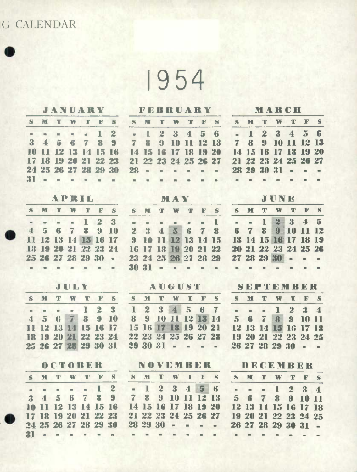# G CALENDAR .

1954

|                  |                |                |                |                |                         |                         |                                                                   | JANUARY FEBRUARY MARCH |                      |                |                          |                              |                           |                      |              |                |                      |                |                         |                          |  |
|------------------|----------------|----------------|----------------|----------------|-------------------------|-------------------------|-------------------------------------------------------------------|------------------------|----------------------|----------------|--------------------------|------------------------------|---------------------------|----------------------|--------------|----------------|----------------------|----------------|-------------------------|--------------------------|--|
|                  | S M            | $\mathbb T$    | W              | $\mathbb T$    | $\mathbf{F}$            |                         | S S M T                                                           |                        |                      | W              |                          |                              |                           | <b>TFSSMT</b>        |              |                | W                    | $\mathbb T$    | FS                      |                          |  |
|                  | and it         | $\mathbf{m}$   | m.             |                | $\mathbf{I}$            | $\overline{2}$          | $\blacksquare$                                                    | $\mathbf{1}$           | $\overline{2}$       | 3              | $\overline{4}$           | 5 <sup>1</sup>               | 6                         |                      | $-1$         | 2 <sup>1</sup> | $\bf{3}$             | $\overline{4}$ | 5 <sup>1</sup>          | 6                        |  |
| $\mathbf{3}$     | $\overline{4}$ | $\overline{5}$ | 6              | $\overline{z}$ | 8                       | $\overline{\mathbf{9}}$ | $\overline{7}$                                                    | $\mathbf{R}$           | 9                    | 10             | Ш                        | 12                           | <b>13</b>                 | $\mathbf{7}$         | 8            | $\mathbf{9}$   | 10                   |                | 12 13                   |                          |  |
| 10               | -11            | 12             | 13             | $\mathbb{I}4$  | 15                      | 16                      | <b>14 15</b>                                                      |                        | 16                   | 17             | $\blacksquare$           | <b>19</b>                    | 20                        | <b>14 15</b>         |              | <b>16</b>      | 17                   | <b>18</b>      |                         | <b>19 20</b>             |  |
|                  | 17 18          | 19             | 20             | 21             | 22                      | 23                      |                                                                   |                        | 21 22 23 24 25 26    |                |                          |                              | 27                        |                      |              |                | 21 22 23 24 25 26 27 |                |                         |                          |  |
|                  |                |                |                | 24 25 26 27 28 | 29                      | 30                      | 28                                                                | $\sim$ 10 $\,$         |                      |                | $\overline{\phantom{a}}$ |                              | $\blacksquare$            |                      | 28 29        |                | 30 31                | $\sim$         |                         |                          |  |
| $31 -$           |                |                |                |                | in.                     | $\equiv$                | $-$                                                               | $\sim$                 |                      |                | $\mathbf{m}$             |                              | $\blacksquare$            | $\sim$               | $\sim$       |                |                      |                |                         |                          |  |
| APRIL            |                |                |                |                |                         |                         | MAY                                                               |                        |                      |                |                          |                              |                           | JUNE                 |              |                |                      |                |                         |                          |  |
| S.               | M T            |                | W              | $\mathbb T$    | $\mathbf{F}$            | S                       |                                                                   | S M                    |                      | T W            | $\mathbb T$              |                              | $F$ S                     | s                    | M            | $\mathbb T$    | W                    | T              |                         | F S                      |  |
|                  |                |                |                | L              | $2^{\circ}$             | 3                       | $\mathbf{m}$ .                                                    | $\blacksquare$         | $\blacksquare$       | $\equiv$       | $\blacksquare$           |                              | $-1$                      | $\sim$               |              | $\mathbf{I}$   | $\overline{2}$       | 3              | $\overline{\mathbf{4}}$ | $5\overline{ }$          |  |
| $\mathbf{d}$     | $\overline{5}$ | 6              | 7              | 8              | 9                       | 10                      | 2 <sup>1</sup>                                                    | $\mathbf{3}$           | $\blacktriangleleft$ | 5 <sup>5</sup> | 6                        | $7 -$                        | 8                         | 6                    | $\mathbf 7$  | 8              |                      | $9 = 10$       | $\mathbf{H}$            | 12                       |  |
| $\mathbf{H}$     | 12             | <b>13</b>      | 14             | 15 16          |                         | 17                      | $\overline{\mathbf{9}}$                                           | 10                     |                      |                |                          | 12 13 14 15                  |                           | <b>13</b>            |              |                | 14 15 16 17 18 19    |                |                         |                          |  |
| 18               |                | <b>19 20</b>   |                |                |                         | 21 22 23 24             | <b>16</b>                                                         |                        | 17 18                |                |                          |                              | 19 20 21 22               |                      |              |                | 20 21 22 23 24 25 26 |                |                         |                          |  |
|                  |                |                | 25 26 27 28 29 |                | 30                      |                         | $-23\ \frac{24}{25}\ \frac{26}{27}\ \frac{27}{28}\ \frac{29}{29}$ |                        |                      |                |                          |                              |                           |                      |              |                | 27 28 29 30          | $\blacksquare$ | $\alpha$                | $\sim$                   |  |
|                  |                |                | $\equiv$       | $\equiv$       | $\equiv$                | $\sim$ $\sim$           |                                                                   | 30 31                  | $\qquad \qquad =$    | $\equiv$       |                          |                              | $\sim$                    | $\blacksquare$       |              |                |                      |                |                         |                          |  |
|                  |                |                |                |                |                         |                         | JULY AUGUST SEPTEMBER                                             |                        |                      |                |                          |                              |                           |                      |              |                |                      |                |                         |                          |  |
|                  | S M            | <b>T</b>       | W              | $\mathbb T$    |                         | F S                     | S M                                                               |                        | $\mathbb T$          | W              |                          |                              |                           | TFS SM               |              | $\mathbb T$    | W                    | $\mathbb T$    | F S                     |                          |  |
|                  |                |                |                | $\mathbf{I}$   | $\overline{2}$          | 3                       | $\mathbf{I}$                                                      | $\mathbf{2}$           | 3                    | $\overline{4}$ | 5 <sup>5</sup>           | 6                            | $\overline{7}$            | $\blacksquare$       | $\mathbf{m}$ |                | 1                    | $\overline{2}$ |                         | $3 \quad 4$              |  |
| $\blacktriangle$ | $\overline{5}$ | 6              |                | 8              | $\overline{\mathbf{9}}$ | 10                      | 8                                                                 | 9                      | 10                   |                |                          | 11 12 13 14                  |                           | $5 -$                | 6            | $\overline{z}$ | $\mathbf{R}$         | 9              | 10 11                   |                          |  |
| $\mathbf{H}$     | <b>12 13</b>   |                |                | 15             | 16                      | $\mathbf{17}$           | 15                                                                | 16                     | 17 18 19 20 21       |                |                          |                              |                           |                      |              |                | 12 13 14 15          |                | 16 17 18                |                          |  |
| 18               |                |                |                |                |                         | 19 20 21 22 23 24       |                                                                   |                        |                      |                |                          |                              | 22 23 24 25 26 27 28      | 19 20 21 22 23 24 25 |              |                |                      |                |                         |                          |  |
|                  |                |                |                |                |                         |                         | $25\ 26\ 27\ 28\ 29\ 30\ 31\ 29\ 30\ 31\ \ldots$                  |                        |                      |                |                          |                              |                           | 26 27 28 29 30 -     |              |                |                      |                |                         | $\sim$                   |  |
|                  |                |                |                |                |                         |                         |                                                                   |                        |                      |                |                          |                              | OCTOBER NOVEMBER DECEMBER |                      |              |                |                      |                |                         |                          |  |
| S.               | M              | T              | W              | T              | F                       | S                       | S                                                                 | M                      | $\mathbb T$          | W              | $\mathbb T$              | $\mathbb{F}$                 | S                         | S                    | M            | $\mathbb T$    | W                    | $\mathbb T$    | $\mathbb{F}$            | S                        |  |
|                  |                |                |                |                |                         | $\boldsymbol{2}$        | $\qquad \qquad =$                                                 |                        | $\boldsymbol{2}$     | $\bf{3}$       | $\blacktriangle$         | $5-1$                        | 6                         | m                    | m,           |                |                      | $\mathbf{2}$   | $\bf{3}$                | $\overline{\mathbf{4}}$  |  |
| $\bf{3}$         | $\overline{4}$ | 5              |                | 7              | 8                       | $9\phantom{.0}$         | 7                                                                 | 8                      | $9\phantom{.}$       | 10             |                          | 11 12 13                     |                           | $\overline{5}$       | 6            | 7              | 8                    | 9              | 10                      |                          |  |
| 10               |                | 12             | 13             | 14             | 15                      | 16                      | 14                                                                | 15                     | 16                   | 17             | <b>18</b>                | 19 20                        |                           | 12                   | <b>13</b>    | 14             | 15                   | <b>16</b>      | 17 18                   |                          |  |
|                  | 17 18          | <b>19</b>      | <b>20</b>      | 21             | 22                      | 23                      |                                                                   | 21 22                  |                      | 23 24 25 26 27 |                          |                              |                           | 19 20 21 22          |              |                |                      |                | 23 24 25                |                          |  |
|                  |                |                |                | 24 25 26 27 28 | 29                      | 30                      |                                                                   | 28 29                  | 30                   | $\bar{m}$      | m.                       | $\qquad \qquad \blacksquare$ | $\sim$                    |                      | 26 27        | 28             | 29                   | 30 31          |                         | $\overline{\phantom{a}}$ |  |
| 31               | $\equiv$       | $\sim$         |                |                |                         |                         | ۰                                                                 |                        |                      |                |                          |                              |                           | u,                   |              |                |                      |                |                         |                          |  |